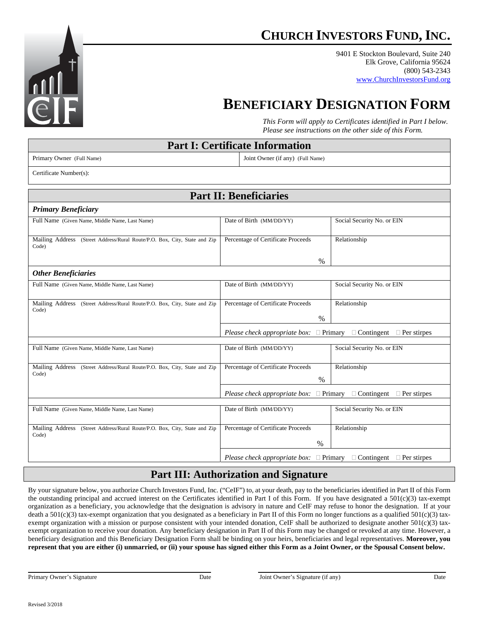

9401 E Stockton Boulevard, Suite 240 Elk Grove, California 95624 (800) 543-2343 www.ChurchInvestorsFund.org

# **BENEFICIARY DESIGNATION FORM**

*This Form will apply to Certificates identified in Part I below. Please see instructions on the other side of this Form.* 

| <b>Part I: Certificate Information</b>                                             |                                                                                                   |                            |
|------------------------------------------------------------------------------------|---------------------------------------------------------------------------------------------------|----------------------------|
| Primary Owner (Full Name)                                                          | Joint Owner (if any) (Full Name)                                                                  |                            |
| Certificate Number(s):                                                             |                                                                                                   |                            |
| <b>Part II: Beneficiaries</b>                                                      |                                                                                                   |                            |
| <b>Primary Beneficiary</b>                                                         |                                                                                                   |                            |
| Full Name (Given Name, Middle Name, Last Name)                                     | Date of Birth (MM/DD/YY)                                                                          | Social Security No. or EIN |
| Mailing Address (Street Address/Rural Route/P.O. Box, City, State and Zip<br>Code) | Percentage of Certificate Proceeds                                                                | Relationship               |
|                                                                                    | $\%$                                                                                              |                            |
| <b>Other Beneficiaries</b>                                                         |                                                                                                   |                            |
| Full Name (Given Name, Middle Name, Last Name)                                     | Date of Birth (MM/DD/YY)                                                                          | Social Security No. or EIN |
| Mailing Address (Street Address/Rural Route/P.O. Box, City, State and Zip<br>Code) | Percentage of Certificate Proceeds                                                                | Relationship               |
|                                                                                    | $\%$                                                                                              |                            |
|                                                                                    | Please check appropriate box: $\square$ Primary<br>$\Box$ Contingent $\Box$ Per stirpes           |                            |
| Full Name (Given Name, Middle Name, Last Name)                                     | Date of Birth (MM/DD/YY)                                                                          | Social Security No. or EIN |
| Mailing Address (Street Address/Rural Route/P.O. Box, City, State and Zip          | Percentage of Certificate Proceeds                                                                | Relationship               |
| Code)                                                                              | $\%$                                                                                              |                            |
|                                                                                    | <i>Please check appropriate box:</i> $\square$ Primary $\square$ Contingent $\square$ Per stirpes |                            |
| Full Name (Given Name, Middle Name, Last Name)                                     | Date of Birth (MM/DD/YY)                                                                          | Social Security No. or EIN |
| Mailing Address (Street Address/Rural Route/P.O. Box, City, State and Zip<br>Code) | Percentage of Certificate Proceeds                                                                | Relationship               |
|                                                                                    | %                                                                                                 |                            |
|                                                                                    | Please check appropriate box: $\square$ Primary<br>$\Box$ Contingent $\Box$ Per stirpes           |                            |

## **Part III: Authorization and Signature**

By your signature below, you authorize Church Investors Fund, Inc. ("CeIF") to, at your death, pay to the beneficiaries identified in Part II of this Form the outstanding principal and accrued interest on the Certificates identified in Part I of this Form. If you have designated a 501(c)(3) tax-exempt organization as a beneficiary, you acknowledge that the designation is advisory in nature and CeIF may refuse to honor the designation. If at your death a  $501(c)(3)$  tax-exempt organization that you designated as a beneficiary in Part II of this Form no longer functions as a qualified  $501(c)(3)$  taxexempt organization with a mission or purpose consistent with your intended donation, CeIF shall be authorized to designate another 501(c)(3) taxexempt organization to receive your donation. Any beneficiary designation in Part II of this Form may be changed or revoked at any time. However, a beneficiary designation and this Beneficiary Designation Form shall be binding on your heirs, beneficiaries and legal representatives. **Moreover, you represent that you are either (i) unmarried, or (ii) your spouse has signed either this Form as a Joint Owner, or the Spousal Consent below.** 

l